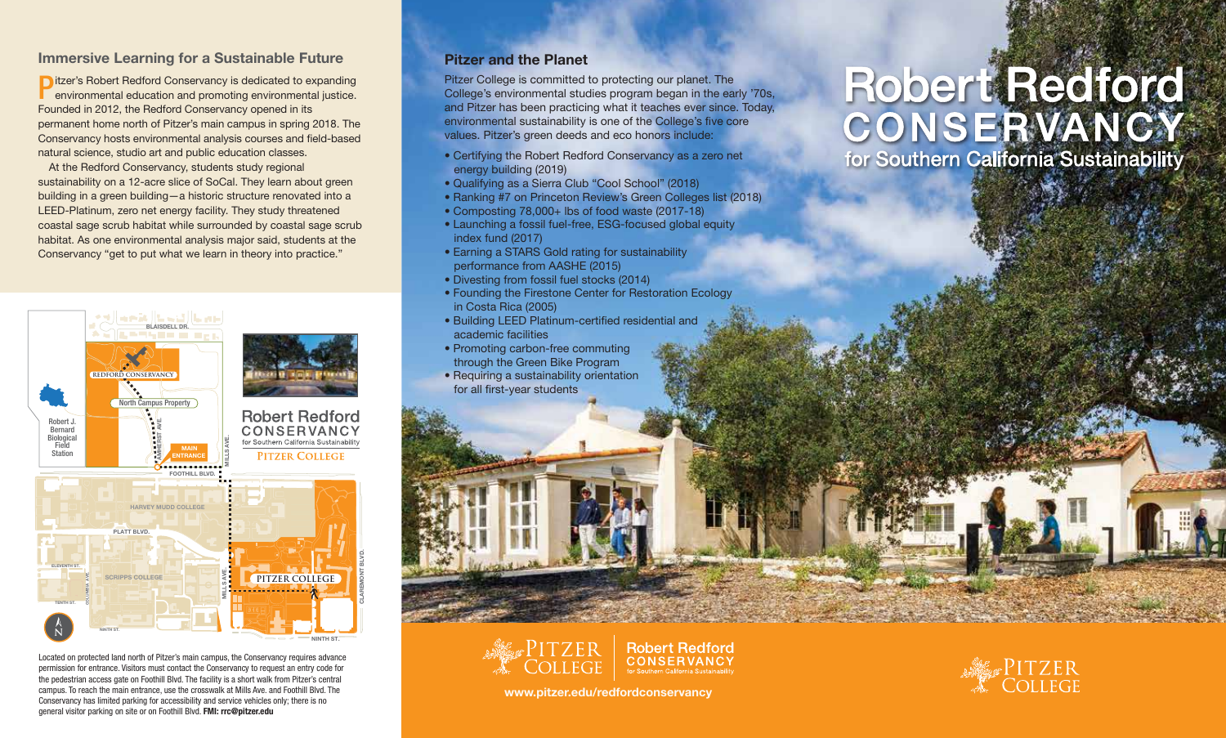## Immersive Learning for a Sustainable Future

**D** itzer's Robert Redford Conservancy is dedicated to expanding environmental education and promoting environmental justice. environmental education and promoting environmental justice. Founded in 2012, the Redford Conservancy opened in its permanent home north of Pitzer's main campus in spring 2018. The Conservancy hosts environmental analysis courses and field-based natural science, studio art and public education classes.

At the Redford Conservancy, students study regional sustainability on a 12-acre slice of SoCal. They learn about green building in a green building—a historic structure renovated into a LEED-Platinum, zero net energy facility. They study threatened coastal sage scrub habitat while surrounded by coastal sage scrub habitat. As one environmental analysis major said, students at the Conservancy "get to put what we learn in theory into practice."



Located on protected land north of Pitzer's main campus, the Conservancy requires advance permission for entrance. Visitors must contact the Conservancy to request an entry code for the pedestrian access gate on Foothill Blvd. The facility is a short walk from Pitzer's central campus. To reach the main entrance, use the crosswalk at Mills Ave. and Foothill Blvd. The Conservancy has limited parking for accessibility and service vehicles only; there is no general visitor parking on site or on Foothill Blvd. FMI: rrc@pitzer.edu

#### Pitzer and the Planet

Pitzer College is committed to protecting our planet. The College's environmental studies program began in the early '70s, and Pitzer has been practicing what it teaches ever since. Today, environmental sustainability is one of the College's five core values. Pitzer's green deeds and eco honors include:

- Certifying the Robert Redford Conservancy as a zero net energy building (2019)
- Qualifying as a Sierra Club "Cool School" (2018)
- Ranking #7 on Princeton Review's Green Colleges list (2018)
- Composting 78,000+ lbs of food waste (2017-18)
- Launching a fossil fuel-free, ESG-focused global equity index fund (2017)
- Earning a STARS Gold rating for sustainability performance from AASHE (2015)
- Divesting from fossil fuel stocks (2014)
- Founding the Firestone Center for Restoration Ecology in Costa Rica (2005)
- Building LEED Platinum-certified residential and academic facilities
- Promoting carbon-free commuting through the Green Bike Program
- Requiring a sustainability orientation for all first-year students

# Robert Redford<br>CONSERVANCY for Southern California Sustainability





www.pitzer.edu/redfordconservancy